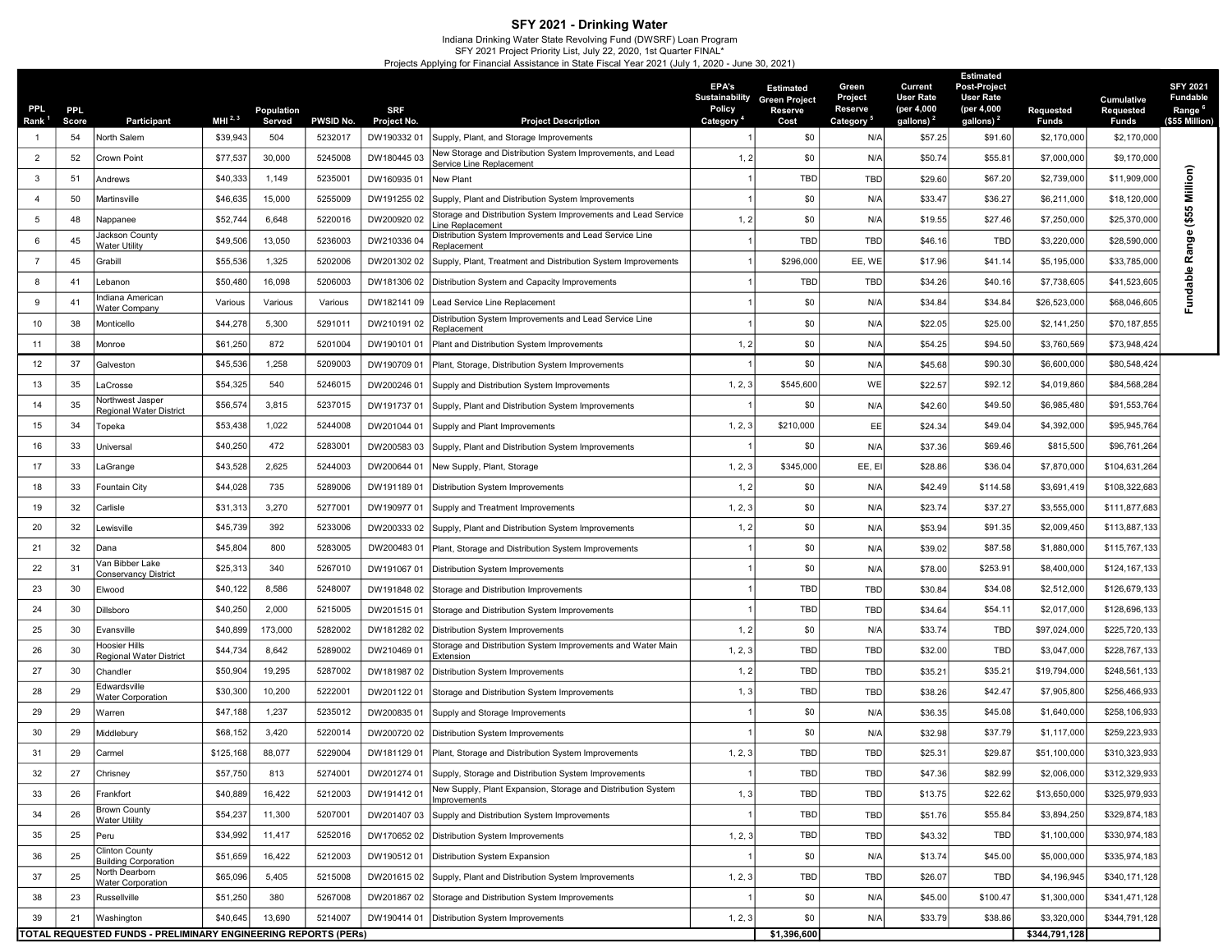## SFY 2021 - Drinking Water

Indiana Drinking Water State Revolving Fund (DWSRF) Loan Program<br>SFY 2021 Project Priority List, July 22, 2020, 1st Quarter FINAL\*<br>Projects Applying for Financial Assistance in State Fiscal Year 2021 (July 1, 2020 - June 3

| PPL.<br>Rank <sup>1</sup> | PPL.<br>Score | Participant                                                    | MHI <sup>2,3</sup> | Population<br>Served | <b>PWSID No.</b> | <b>SRF</b><br>Project No. | <b>Project Description</b>                                                             | EPA's<br><b>Sustainability</b><br><b>Policy</b><br>Category | <b>Estimated</b><br><b>Green Project</b><br>Reserve<br>Cost | Green<br>Project<br>Reserve<br>Category | Current<br><b>User Rate</b><br>(per 4,000<br>gallons) <sup>2</sup> | <b>Estimated</b><br>Post-Project<br>User Rate<br>(per 4,000<br>gallons) <sup>2</sup> | Requested<br>Funds | <b>Cumulative</b><br>Requested<br><b>Funds</b> | <b>SFY 2021</b><br><b>Fundable</b><br>Range <sup>6</sup><br>(\$55 Million |
|---------------------------|---------------|----------------------------------------------------------------|--------------------|----------------------|------------------|---------------------------|----------------------------------------------------------------------------------------|-------------------------------------------------------------|-------------------------------------------------------------|-----------------------------------------|--------------------------------------------------------------------|--------------------------------------------------------------------------------------|--------------------|------------------------------------------------|---------------------------------------------------------------------------|
|                           | 54            | North Salem                                                    | \$39,943           | 504                  | 5232017          | DW19033201                | Supply, Plant, and Storage Improvements                                                |                                                             | \$0                                                         | N/A                                     | \$57.25                                                            | \$91.60                                                                              | \$2,170,000        | \$2,170,000                                    |                                                                           |
| $\overline{2}$            | 52            | Crown Point                                                    | \$77,537           | 30,000               | 5245008          | DW18044503                | New Storage and Distribution System Improvements, and Lead<br>Service Line Replacement | 1, 2                                                        | \$0                                                         | N/A                                     | \$50.74                                                            | \$55.81                                                                              | \$7,000,000        | \$9,170,000                                    |                                                                           |
| 3                         | 51            | Andrews                                                        | \$40,333           | 1,149                | 5235001          | DW16093501                | New Plant                                                                              |                                                             | TBD                                                         | <b>TBD</b>                              | \$29.60                                                            | \$67.20                                                                              | \$2,739,000        | \$11,909,000                                   | Million)                                                                  |
| $\overline{4}$            | 50            | Martinsville                                                   | \$46,635           | 15,000               | 5255009          | DW19125502                | Supply, Plant and Distribution System Improvements                                     |                                                             | \$0                                                         | N/A                                     | \$33.47                                                            | \$36.27                                                                              | \$6,211,000        | \$18,120,000                                   |                                                                           |
| 5                         | 48            | Nappanee                                                       | \$52,744           | 6,648                | 5220016          | DW200920 02               | Storage and Distribution System Improvements and Lead Service<br>ine Replacement       | 1, 2                                                        | \$0                                                         | N/A                                     | \$19.55                                                            | \$27.46                                                                              | \$7,250,000        | \$25,370,000                                   | $($ \$55                                                                  |
| 6                         | 45            | lackson County<br>Water Utility                                | \$49,506           | 13,050               | 5236003          | DW210336 04               | Distribution System Improvements and Lead Service Line<br>Replacement                  |                                                             | TBD                                                         | <b>TBD</b>                              | \$46.16                                                            | TBD                                                                                  | \$3,220,000        | \$28,590,000                                   | Φ                                                                         |
| $\overline{7}$            | 45            | Grabill                                                        | \$55,536           | 1,325                | 5202006          | DW201302 02               | Supply, Plant, Treatment and Distribution System Improvements                          |                                                             | \$296,000                                                   | EE, WE                                  | \$17.96                                                            | \$41.14                                                                              | \$5,195,000        | \$33,785,000                                   | Rang                                                                      |
| 8                         | 41            | .ebanon                                                        | \$50,480           | 16,098               | 5206003          | DW181306 02               | Distribution System and Capacity Improvements                                          |                                                             | <b>TBD</b>                                                  | TBD                                     | \$34.26                                                            | \$40.16                                                                              | \$7,738,605        | \$41,523,605                                   | undable                                                                   |
| 9                         | 41            | ndiana American<br>Nater Company                               | Various            | Various              | Various          | DW182141 09               | Lead Service Line Replacement                                                          |                                                             | \$0                                                         | N/A                                     | \$34.84                                                            | \$34.84                                                                              | \$26,523,000       | \$68,046,605                                   |                                                                           |
| 10                        | 38            | Monticello                                                     | \$44,278           | 5,300                | 5291011          | DW210191 02               | Distribution System Improvements and Lead Service Line<br>Replacement                  |                                                             | \$0                                                         | N/A                                     | \$22.05                                                            | \$25.00                                                                              | \$2,141,250        | \$70,187,855                                   |                                                                           |
| 11                        | 38            | Monroe                                                         | \$61,250           | 872                  | 5201004          | DW190101 01               | Plant and Distribution System Improvements                                             | 1, 2                                                        | \$0                                                         | N/A                                     | \$54.25                                                            | \$94.50                                                                              | \$3,760,569        | \$73,948,424                                   |                                                                           |
| 12                        | 37            | Galveston                                                      | \$45,536           | 1,258                | 5209003          | DW190709 01               | Plant, Storage, Distribution System Improvements                                       |                                                             | \$0                                                         | N/A                                     | \$45.68                                                            | \$90.30                                                                              | \$6,600,000        | \$80,548,424                                   |                                                                           |
| 13                        | 35            | .aCrosse                                                       | \$54,325           | 540                  | 5246015          | DW200246 01               | Supply and Distribution System Improvements                                            | 1, 2, 3                                                     | \$545,600                                                   | WE                                      | \$22.57                                                            | \$92.12                                                                              | \$4,019,860        | \$84,568,284                                   |                                                                           |
| 14                        | 35            | Northwest Jasper<br>Regional Water District                    | \$56,574           | 3,815                | 5237015          | DW191737 01               | Supply, Plant and Distribution System Improvements                                     |                                                             | \$0                                                         | N/A                                     | \$42.60                                                            | \$49.50                                                                              | \$6,985,480        | \$91,553,764                                   |                                                                           |
| 15                        | 34            | <sup>-</sup> opeka                                             | \$53,438           | 1,022                | 5244008          | DW201044 01               | Supply and Plant Improvements                                                          | 1, 2, 3                                                     | \$210,000                                                   | EE                                      | \$24.34                                                            | \$49.04                                                                              | \$4,392,000        | \$95,945,764                                   |                                                                           |
| 16                        | 33            | Jniversal                                                      | \$40,250           | 472                  | 5283001          | DW20058303                | Supply, Plant and Distribution System Improvements                                     |                                                             | \$0                                                         | N/A                                     | \$37.36                                                            | \$69.46                                                                              | \$815,500          | \$96,761,264                                   |                                                                           |
| 17                        | 33            | .aGrange                                                       | \$43,528           | 2,625                | 5244003          | DW200644 01               | New Supply, Plant, Storage                                                             | 1, 2, 3                                                     | \$345,000                                                   | EE, E                                   | \$28.86                                                            | \$36.04                                                                              | \$7,870,000        | \$104,631,264                                  |                                                                           |
| 18                        | 33            | Fountain City                                                  | \$44,028           | 735                  | 5289006          | DW19118901                | Distribution System Improvements                                                       | 1, 2                                                        | \$0                                                         | N/A                                     | \$42.49                                                            | \$114.58                                                                             | \$3,691,419        | \$108,322,683                                  |                                                                           |
| 19                        | 32            | Carlisle                                                       | \$31,313           | 3,270                | 5277001          | DW19097701                | Supply and Treatment Improvements                                                      | 1, 2, 3                                                     | \$0                                                         | N/A                                     | \$23.74                                                            | \$37.27                                                                              | \$3,555,000        | \$111,877,683                                  |                                                                           |
| 20                        | 32            | ewisville.                                                     | \$45,739           | 392                  | 5233006          |                           | DW200333 02 Supply, Plant and Distribution System Improvements                         | 1, 2                                                        | \$0                                                         | N/A                                     | \$53.94                                                            | \$91.35                                                                              | \$2,009,450        | \$113,887,13                                   |                                                                           |
| 21                        | 32            | Dana                                                           | \$45,804           | 800                  | 5283005          | DW20048301                | Plant, Storage and Distribution System Improvements                                    |                                                             | \$0                                                         | N/A                                     | \$39.02                                                            | \$87.58                                                                              | \$1,880,000        | \$115,767,133                                  |                                                                           |
| 22                        | 31            | Van Bibber Lake<br>Conservancy District                        | \$25,313           | 340                  | 5267010          | DW191067 01               | Distribution System Improvements                                                       |                                                             | \$0                                                         | N/A                                     | \$78.00                                                            | \$253.91                                                                             | \$8,400,000        | \$124,167,133                                  |                                                                           |
| 23                        | 30            | Elwood                                                         | \$40,122           | 8,586                | 5248007          | DW191848 02               | Storage and Distribution Improvements                                                  |                                                             | TBD                                                         | TBD                                     | \$30.84                                                            | \$34.08                                                                              | \$2,512,000        | \$126,679,133                                  |                                                                           |
| 24                        | 30            | Dillsboro                                                      | \$40,250           | 2,000                | 5215005          | DW20151501                | Storage and Distribution System Improvements                                           |                                                             | TBD                                                         | TBD                                     | \$34.64                                                            | \$54.11                                                                              | \$2,017,000        | \$128,696,13                                   |                                                                           |
| 25                        | 30            | Evansville                                                     | \$40,899           | 173,000              | 5282002          | DW18128202                | Distribution System Improvements                                                       | 1, 2                                                        | \$0                                                         | N/A                                     | \$33.74                                                            | TBD                                                                                  | \$97,024,000       | \$225,720,133                                  |                                                                           |
| 26                        | 30            | Hoosier Hills<br>Regional Water District                       | \$44,734           | 8,642                | 5289002          | DW210469 01               | Storage and Distribution System Improvements and Water Main<br>Extension               | 1, 2, 3                                                     | TBD                                                         | TBD                                     | \$32.00                                                            | <b>TBD</b>                                                                           | \$3,047,000        | \$228,767,133                                  |                                                                           |
| 27                        | 30            | Chandler                                                       | \$50,904           | 19,295               | 5287002          | DW18198702                | Distribution System Improvements                                                       | 1, 2                                                        | TBD                                                         | TBD                                     | \$35.21                                                            | $$35.2^{\circ}$                                                                      | \$19,794,000       | \$248,561,13                                   |                                                                           |
| 28                        | 29            | Edwardsville<br><b>Nater Corporation</b>                       | \$30,300           | 10,200               | 5222001          | DW20112201                | Storage and Distribution System Improvements                                           | 1, 3                                                        | TBD                                                         | TBD                                     | \$38.26                                                            | \$42.47                                                                              | \$7,905,800        | \$256,466,933                                  |                                                                           |
| 29                        | 29            | Narren                                                         | \$47,188           | 1,237                | 5235012          | DW200835 01               | Supply and Storage Improvements                                                        |                                                             | \$0                                                         | N/A                                     | \$36.35                                                            | \$45.08                                                                              | \$1,640,000        | \$258,106,933                                  |                                                                           |
| 30                        | 29            | Middlebury                                                     | \$68,152           | 3,420                | 5220014          | DW200720 02               | Distribution System Improvements                                                       |                                                             | \$0                                                         | N/A                                     | \$32.98                                                            | \$37.79                                                                              | \$1,117,000        | \$259,223,933                                  |                                                                           |
| 31                        | 29            | Carmel                                                         | \$125,168          | 88,077               | 5229004          |                           | DW181129 01   Plant, Storage and Distribution System Improvements                      | 1, 2, 3                                                     | TBD                                                         | <b>TBD</b>                              | \$25.31                                                            | \$29.87                                                                              | \$51,100,000       | \$310,323,933                                  |                                                                           |
| 32                        | 27            | Chrisney                                                       | \$57,750           | 813                  | 5274001          |                           | DW201274 01   Supply, Storage and Distribution System Improvements                     |                                                             | TBD                                                         | TBD                                     | \$47.36                                                            | \$82.99                                                                              | \$2,006,000        | \$312,329,933                                  |                                                                           |
| 33                        | 26            | Frankfort                                                      | \$40,889           | 16,422               | 5212003          | DW19141201                | New Supply, Plant Expansion, Storage and Distribution System<br>Improvements           | 1, 3                                                        | TBD                                                         | TBD                                     | \$13.75                                                            | \$22.62                                                                              | \$13,650,000       | \$325,979,933                                  |                                                                           |
| 34                        | 26            | <b>Brown County</b><br><b>Water Utility</b>                    | \$54,237           | 11,300               | 5207001          |                           | DW201407 03 Supply and Distribution System Improvements                                |                                                             | TBD                                                         | <b>TBD</b>                              | \$51.76                                                            | \$55.84                                                                              | \$3,894,250        | \$329,874,183                                  |                                                                           |
| 35                        | 25            | Peru                                                           | \$34,992           | 11,417               | 5252016          |                           | DW170652 02 Distribution System Improvements                                           | 1, 2, 3                                                     | TBD                                                         | TBD                                     | \$43.32                                                            | <b>TBD</b>                                                                           | \$1,100,000        | \$330,974,183                                  |                                                                           |
| 36                        | 25            | Clinton County<br><b>Building Corporation</b>                  | \$51,659           | 16,422               | 5212003          |                           | DW190512 01 Distribution System Expansion                                              |                                                             | \$0                                                         | N/A                                     | \$13.74                                                            | \$45.00                                                                              | \$5,000,000        | \$335,974,183                                  |                                                                           |
| 37                        | 25            | North Dearborn<br>Water Corporation                            | \$65,096           | 5,405                | 5215008          |                           | DW201615 02 Supply, Plant and Distribution System Improvements                         | 1, 2, 3                                                     | TBD                                                         | TBD                                     | \$26.07                                                            | <b>TBD</b>                                                                           | \$4,196,945        | \$340,171,128                                  |                                                                           |
| 38                        | 23            | Russellville                                                   | \$51,250           | 380                  | 5267008          |                           | DW201867 02 Storage and Distribution System Improvements                               |                                                             | \$0                                                         | N/A                                     | \$45.00                                                            | \$100.47                                                                             | \$1,300,000        | \$341,471,128                                  |                                                                           |
| 39                        | 21            | Washington                                                     | \$40,645           | 13,690               | 5214007          |                           | DW190414 01   Distribution System Improvements                                         | 1, 2, 3                                                     | \$0                                                         | N/A                                     | \$33.79                                                            | \$38.86                                                                              | \$3,320,000        | \$344,791,128                                  |                                                                           |
|                           |               | TOTAL REQUESTED FUNDS - PRELIMINARY ENGINEERING REPORTS (PERS) |                    |                      |                  |                           |                                                                                        |                                                             | \$1,396,600                                                 |                                         |                                                                    |                                                                                      | \$344,791,128      |                                                |                                                                           |